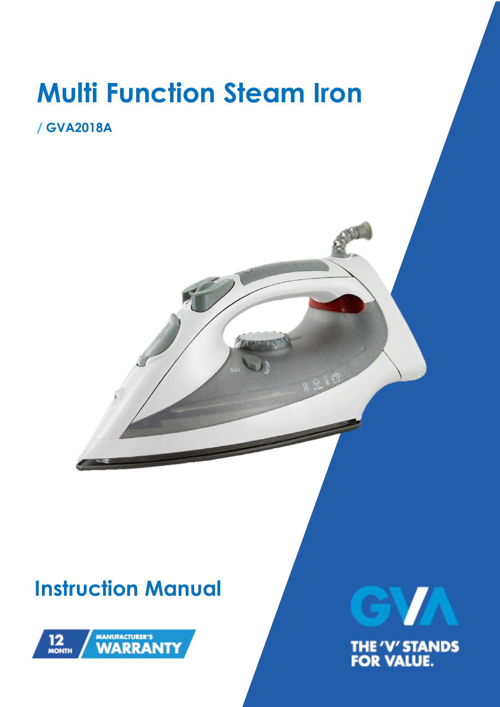# **Multi Function Steam Iron**

### **/ GVA2018A**

# **Instruction Manual**



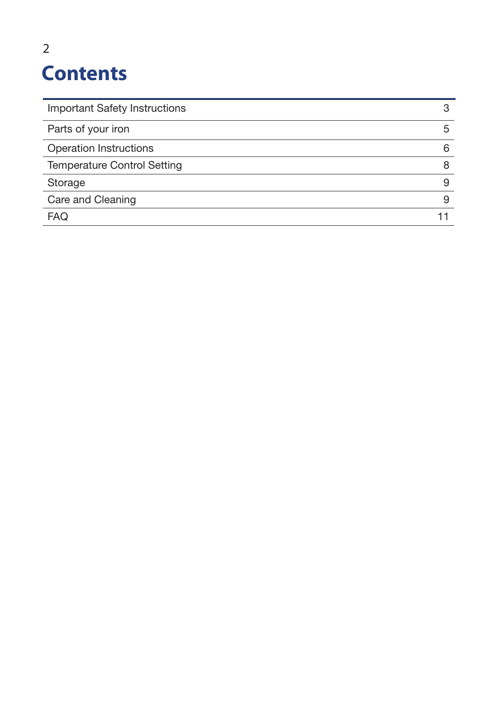# **Contents**

2

| <b>Important Safety Instructions</b> |   |
|--------------------------------------|---|
| Parts of your iron                   |   |
| Operation Instructions               |   |
| <b>Temperature Control Setting</b>   | 8 |
| Storage                              | 9 |
| Care and Cleaning                    | 9 |
| FAQ                                  |   |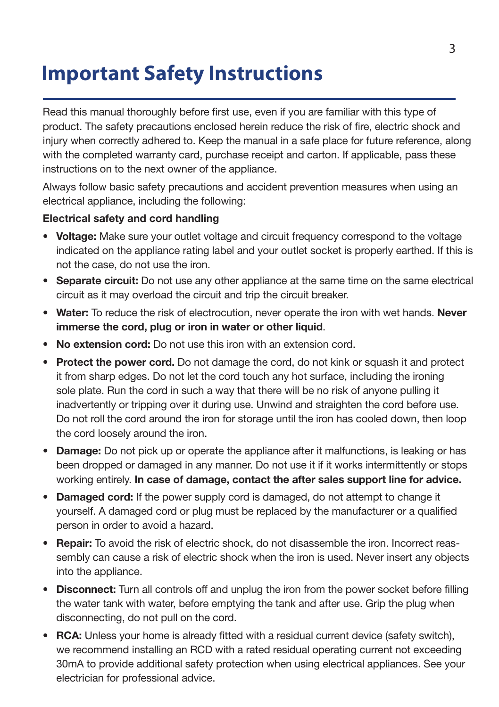### **Important Safety Instructions**

Read this manual thoroughly before first use, even if you are familiar with this type of product. The safety precautions enclosed herein reduce the risk of fire, electric shock and injury when correctly adhered to. Keep the manual in a safe place for future reference, along with the completed warranty card, purchase receipt and carton. If applicable, pass these instructions on to the next owner of the appliance.

Always follow basic safety precautions and accident prevention measures when using an electrical appliance, including the following:

#### **Electrical safety and cord handling**

- **• Voltage:** Make sure your outlet voltage and circuit frequency correspond to the voltage indicated on the appliance rating label and your outlet socket is properly earthed. If this is not the case, do not use the iron.
- **• Separate circuit:** Do not use any other appliance at the same time on the same electrical circuit as it may overload the circuit and trip the circuit breaker.
- **• Water:** To reduce the risk of electrocution, never operate the iron with wet hands. **Never immerse the cord, plug or iron in water or other liquid**.
- **No extension cord:** Do not use this iron with an extension cord.
- **Protect the power cord.** Do not damage the cord, do not kink or squash it and protect it from sharp edges. Do not let the cord touch any hot surface, including the ironing sole plate. Run the cord in such a way that there will be no risk of anyone pulling it inadvertently or tripping over it during use. Unwind and straighten the cord before use. Do not roll the cord around the iron for storage until the iron has cooled down, then loop the cord loosely around the iron.
- **• Damage:** Do not pick up or operate the appliance after it malfunctions, is leaking or has been dropped or damaged in any manner. Do not use it if it works intermittently or stops working entirely. **In case of damage, contact the after sales support line for advice.**
- **• Damaged cord:** If the power supply cord is damaged, do not attempt to change it yourself. A damaged cord or plug must be replaced by the manufacturer or a qualified person in order to avoid a hazard.
- **• Repair:** To avoid the risk of electric shock, do not disassemble the iron. Incorrect reassembly can cause a risk of electric shock when the iron is used. Never insert any objects into the appliance.
- **• Disconnect:** Turn all controls off and unplug the iron from the power socket before filling the water tank with water, before emptying the tank and after use. Grip the plug when disconnecting, do not pull on the cord.
- **• RCA:** Unless your home is already fitted with a residual current device (safety switch), we recommend installing an RCD with a rated residual operating current not exceeding 30mA to provide additional safety protection when using electrical appliances. See your electrician for professional advice.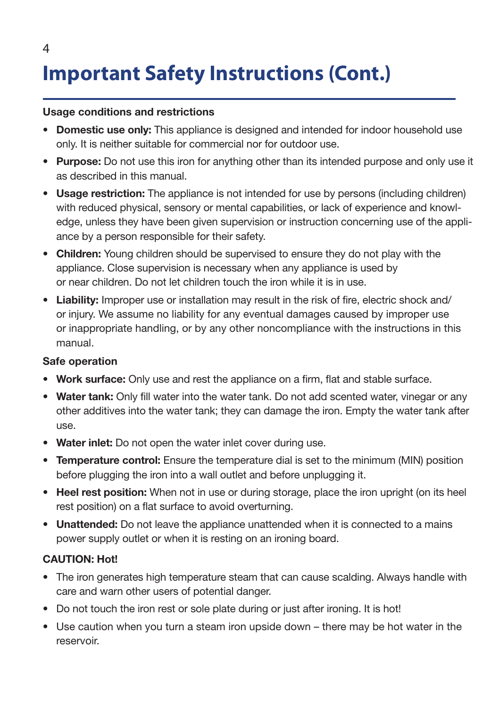# **Important Safety Instructions (Cont.)**

#### **Usage conditions and restrictions**

- **• Domestic use only:** This appliance is designed and intended for indoor household use only. It is neither suitable for commercial nor for outdoor use.
- **• Purpose:** Do not use this iron for anything other than its intended purpose and only use it as described in this manual.
- **• Usage restriction:** The appliance is not intended for use by persons (including children) with reduced physical, sensory or mental capabilities, or lack of experience and knowledge, unless they have been given supervision or instruction concerning use of the appliance by a person responsible for their safety.
- **• Children:** Young children should be supervised to ensure they do not play with the appliance. Close supervision is necessary when any appliance is used by or near children. Do not let children touch the iron while it is in use.
- **• Liability:** Improper use or installation may result in the risk of fire, electric shock and/ or injury. We assume no liability for any eventual damages caused by improper use or inappropriate handling, or by any other noncompliance with the instructions in this manual.

#### **Safe operation**

- **• Work surface:** Only use and rest the appliance on a firm, flat and stable surface.
- **• Water tank:** Only fill water into the water tank. Do not add scented water, vinegar or any other additives into the water tank; they can damage the iron. Empty the water tank after use.
- **• Water inlet:** Do not open the water inlet cover during use.
- **• Temperature control:** Ensure the temperature dial is set to the minimum (MIN) position before plugging the iron into a wall outlet and before unplugging it.
- **• Heel rest position:** When not in use or during storage, place the iron upright (on its heel rest position) on a flat surface to avoid overturning.
- **• Unattended:** Do not leave the appliance unattended when it is connected to a mains power supply outlet or when it is resting on an ironing board.

#### **CAUTION: Hot!**

- The iron generates high temperature steam that can cause scalding. Always handle with care and warn other users of potential danger.
- Do not touch the iron rest or sole plate during or just after ironing. It is hot!
- Use caution when you turn a steam iron upside down there may be hot water in the reservoir.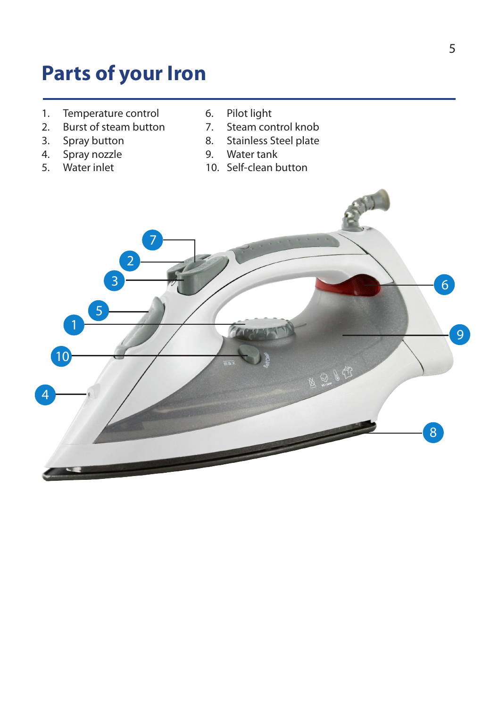### **Parts of your Iron**

- 1. Temperature control<br>2. Burst of steam buttor
- 2. Burst of steam button
- 3. Spray button
- 4. Spray nozzle<br>5. Water inlet
- 5. Water inlet
- 6. Pilot light<br>7. Steam cor
- Steam control knob
- 8. Stainless Steel plate<br>9. Water tank
- Water tank
- 10. Self-clean button

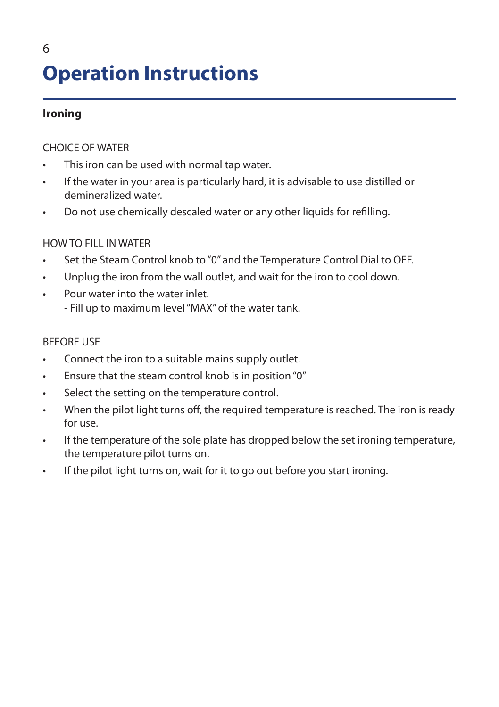# **Operation Instructions**

#### **Ironing**

6

#### CHOICE OF WATER

- This iron can be used with normal tap water.
- If the water in your area is particularly hard, it is advisable to use distilled or demineralized water.
- Do not use chemically descaled water or any other liquids for refilling.

#### HOW TO FILL IN WATER

- Set the Steam Control knob to "0" and the Temperature Control Dial to OFF.
- • Unplug the iron from the wall outlet, and wait for the iron to cool down.
- • Pour water into the water inlet. - Fill up to maximum level "MAX" of the water tank.

#### BEFORE USE

- Connect the iron to a suitable mains supply outlet.
- • Ensure that the steam control knob is in position "0"
- • Select the setting on the temperature control.
- • When the pilot light turns off, the required temperature is reached. The iron is ready for use.
- • If the temperature of the sole plate has dropped below the set ironing temperature, the temperature pilot turns on.
- If the pilot light turns on, wait for it to go out before you start ironing.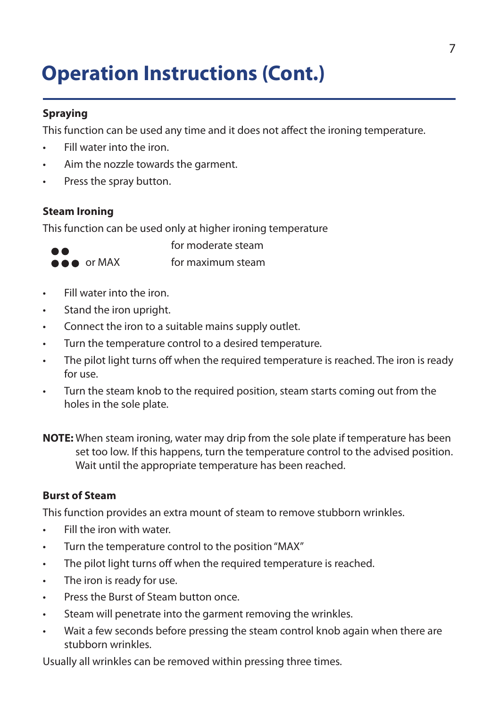## **Operation Instructions (Cont.)**

#### **Spraying**

This function can be used any time and it does not affect the ironing temperature.

- Fill water into the iron.
- Aim the nozzle towards the garment.
- Press the spray button.

#### **Steam Ironing**

This function can be used only at higher ironing temperature

**for moderate steam** 

**A A** or MAX for maximum steam

- Fill water into the iron
- Stand the iron upright.
- • Connect the iron to a suitable mains supply outlet.
- Turn the temperature control to a desired temperature.
- The pilot light turns off when the required temperature is reached. The iron is ready for use.
- Turn the steam knob to the required position, steam starts coming out from the holes in the sole plate.
- **NOTE:** When steam ironing, water may drip from the sole plate if temperature has been set too low. If this happens, turn the temperature control to the advised position. Wait until the appropriate temperature has been reached.

#### **Burst of Steam**

This function provides an extra mount of steam to remove stubborn wrinkles.

- Fill the iron with water
- • Turn the temperature control to the position "MAX"
- • The pilot light turns off when the required temperature is reached.
- The iron is ready for use.
- • Press the Burst of Steam button once.
- Steam will penetrate into the garment removing the wrinkles.
- Wait a few seconds before pressing the steam control knob again when there are stubborn wrinkles.

Usually all wrinkles can be removed within pressing three times.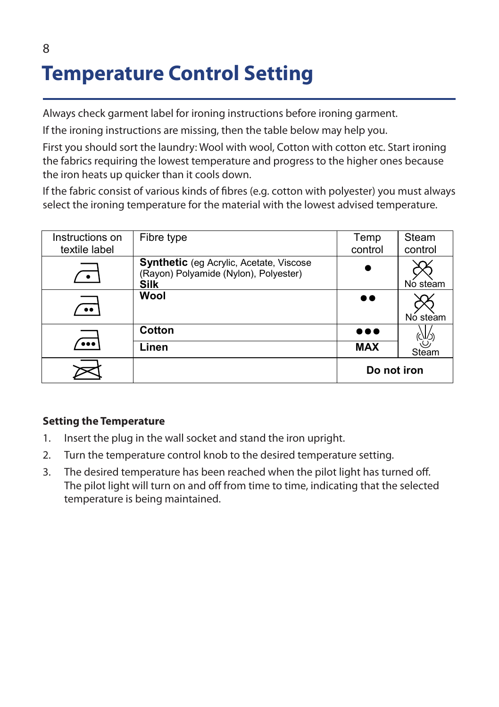# **Temperature Control Setting**

Always check garment label for ironing instructions before ironing garment.

If the ironing instructions are missing, then the table below may help you.

First you should sort the laundry: Wool with wool, Cotton with cotton etc. Start ironing the fabrics requiring the lowest temperature and progress to the higher ones because the iron heats up quicker than it cools down.

If the fabric consist of various kinds of fibres (e.g. cotton with polyester) you must always select the ironing temperature for the material with the lowest advised temperature.

| Instructions on<br>textile label | Fibre type                                                                                      | Temp<br>control         | Steam<br>control |
|----------------------------------|-------------------------------------------------------------------------------------------------|-------------------------|------------------|
|                                  | Synthetic (eg Acrylic, Acetate, Viscose<br>(Rayon) Polyamide (Nylon), Polyester)<br><b>Silk</b> |                         | No steam         |
|                                  | Wool                                                                                            |                         | No steam         |
|                                  | Cotton                                                                                          | $\bullet\bullet\bullet$ |                  |
| $\bullet\bullet\bullet$          | Linen                                                                                           | <b>MAX</b>              | Steam            |
|                                  |                                                                                                 | Do not iron             |                  |

#### **Setting the Temperature**

8

- 1. Insert the plug in the wall socket and stand the iron upright.
- 2. Turn the temperature control knob to the desired temperature setting.
- 3. The desired temperature has been reached when the pilot light has turned off. The pilot light will turn on and off from time to time, indicating that the selected temperature is being maintained.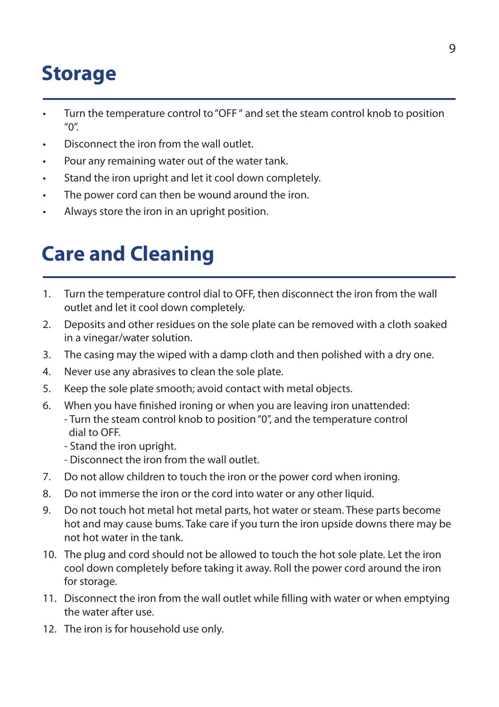### **Storage**

- • Turn the temperature control to "OFF " and set the steam control knob to position  $^{\prime\prime}$ <sup>"</sup>
- Disconnect the iron from the wall outlet.
- Pour any remaining water out of the water tank.
- Stand the iron upright and let it cool down completely.
- The power cord can then be wound around the iron.
- Always store the iron in an upright position.

### **Care and Cleaning**

- 1. Turn the temperature control dial to OFF, then disconnect the iron from the wall outlet and let it cool down completely.
- 2. Deposits and other residues on the sole plate can be removed with a cloth soaked in a vinegar/water solution.
- 3. The casing may the wiped with a damp cloth and then polished with a dry one.
- 4. Never use any abrasives to clean the sole plate.
- 5. Keep the sole plate smooth; avoid contact with metal objects.
- 6. When you have finished ironing or when you are leaving iron unattended: - Turn the steam control knob to position "0", and the temperature control dial to OFF.
	- Stand the iron upright.
	- Disconnect the iron from the wall outlet.
- 7. Do not allow children to touch the iron or the power cord when ironing.
- 8. Do not immerse the iron or the cord into water or any other liquid.
- 9. Do not touch hot metal hot metal parts, hot water or steam. These parts become hot and may cause bums. Take care if you turn the iron upside downs there may be not hot water in the tank.
- 10. The plug and cord should not be allowed to touch the hot sole plate. Let the iron cool down completely before taking it away. Roll the power cord around the iron for storage.
- 11. Disconnect the iron from the wall outlet while filling with water or when emptying the water after use.
- 12. The iron is for household use only.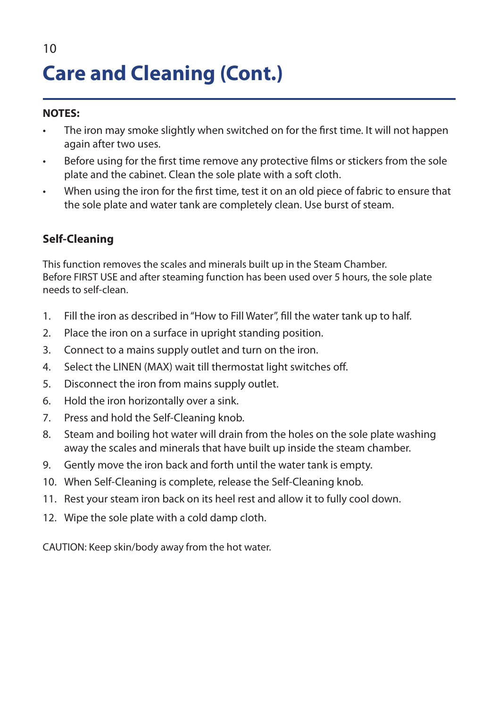# **Care and Cleaning (Cont.)**

#### **NOTES:**

10

- The iron may smoke slightly when switched on for the first time. It will not happen again after two uses.
- Before using for the first time remove any protective films or stickers from the sole plate and the cabinet. Clean the sole plate with a soft cloth.
- • When using the iron for the first time, test it on an old piece of fabric to ensure that the sole plate and water tank are completely clean. Use burst of steam.

#### **Self-Cleaning**

This function removes the scales and minerals built up in the Steam Chamber. Before FIRST USE and after steaming function has been used over 5 hours, the sole plate needs to self-clean.

- 1. Fill the iron as described in "How to Fill Water", fill the water tank up to half.
- 2. Place the iron on a surface in upright standing position.
- 3. Connect to a mains supply outlet and turn on the iron.
- 4. Select the LINEN (MAX) wait till thermostat light switches off.
- 5. Disconnect the iron from mains supply outlet.
- 6. Hold the iron horizontally over a sink.
- 7. Press and hold the Self-Cleaning knob.
- 8. Steam and boiling hot water will drain from the holes on the sole plate washing away the scales and minerals that have built up inside the steam chamber.
- 9. Gently move the iron back and forth until the water tank is empty.
- 10. When Self-Cleaning is complete, release the Self-Cleaning knob.
- 11. Rest your steam iron back on its heel rest and allow it to fully cool down.
- 12. Wipe the sole plate with a cold damp cloth.

CAUTION: Keep skin/body away from the hot water.